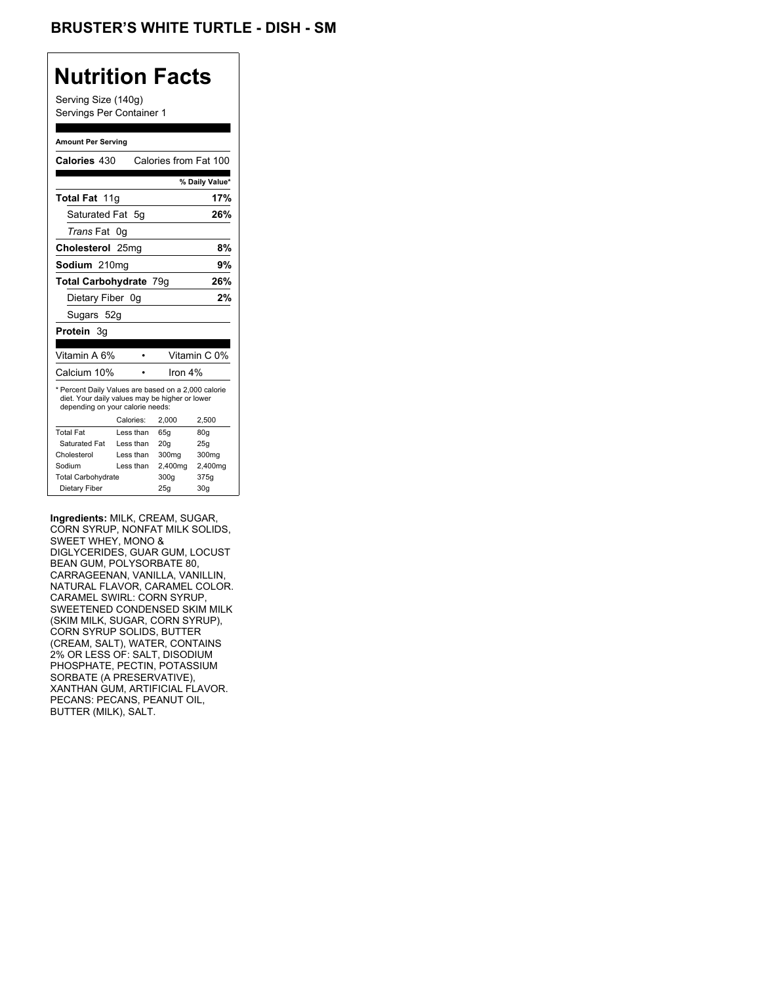Serving Size (140g) Servings Per Container 1

#### **Amount Per Serving**

| Calories 430                                                                                                                              |           | Calories from Fat 100 |                 |
|-------------------------------------------------------------------------------------------------------------------------------------------|-----------|-----------------------|-----------------|
|                                                                                                                                           |           |                       | % Daily Value*  |
| <b>Total Fat 11g</b>                                                                                                                      |           |                       | 17%             |
| Saturated Fat 5q                                                                                                                          |           |                       | 26%             |
| <i>Trans</i> Fat                                                                                                                          | 0g        |                       |                 |
| Cholesterol 25mg                                                                                                                          |           |                       | 8%              |
| Sodium 210mg                                                                                                                              |           |                       | 9%              |
| <b>Total Carbohydrate 79g</b>                                                                                                             |           |                       | 26%             |
| Dietary Fiber 0q                                                                                                                          |           |                       | 2%              |
| Sugars 52g                                                                                                                                |           |                       |                 |
| <b>Protein</b> 3q                                                                                                                         |           |                       |                 |
|                                                                                                                                           |           |                       |                 |
| Vitamin A 6%                                                                                                                              |           |                       | Vitamin C 0%    |
| Calcium 10%                                                                                                                               |           | Iron $4\%$            |                 |
| * Percent Daily Values are based on a 2,000 calorie<br>diet. Your daily values may be higher or lower<br>depending on your calorie needs: |           |                       |                 |
|                                                                                                                                           | Calories: | 2.000                 | 2,500           |
| <b>Total Fat</b>                                                                                                                          | Less than | 65q                   | 80q             |
| Saturated Fat                                                                                                                             | Less than | 20q                   | 25q             |
| Cholesterol                                                                                                                               | Less than | 300mg                 | 300mg           |
| Sodium                                                                                                                                    | Less than | 2,400mg               | 2,400mg         |
| <b>Total Carbohydrate</b>                                                                                                                 |           | 300g                  | 375g            |
| Dietary Fiber                                                                                                                             |           | 25q                   | 30 <sub>g</sub> |

**Ingredients:** MILK, CREAM, SUGAR, CORN SYRUP, NONFAT MILK SOLIDS, SWEET WHEY, MONO & DIGLYCERIDES, GUAR GUM, LOCUST BEAN GUM, POLYSORBATE 80, CARRAGEENAN, VANILLA, VANILLIN, NATURAL FLAVOR, CARAMEL COLOR. CARAMEL SWIRL: CORN SYRUP, SWEETENED CONDENSED SKIM MILK (SKIM MILK, SUGAR, CORN SYRUP), CORN SYRUP SOLIDS, BUTTER (CREAM, SALT), WATER, CONTAINS 2% OR LESS OF: SALT, DISODIUM PHOSPHATE, PECTIN, POTASSIUM SORBATE (A PRESERVATIVE), XANTHAN GUM, ARTIFICIAL FLAVOR. PECANS: PECANS, PEANUT OIL, BUTTER (MILK), SALT.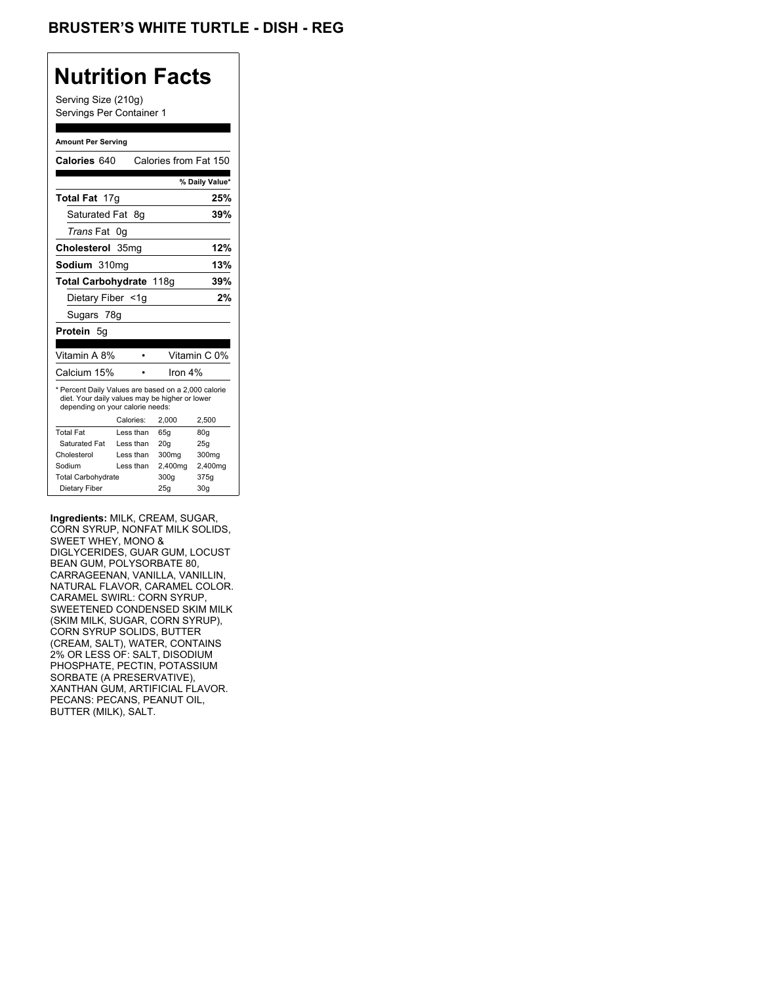Serving Size (210g) Servings Per Container 1

#### **Amount Per Serving**

| Calories 640                                                                                                                              |                  | Calories from Fat 150 |                |
|-------------------------------------------------------------------------------------------------------------------------------------------|------------------|-----------------------|----------------|
|                                                                                                                                           |                  |                       | % Daily Value* |
| <b>Total Fat 17g</b>                                                                                                                      |                  |                       | 25%            |
| Saturated Fat                                                                                                                             | -8g              |                       | 39%            |
| <i>Trans</i> Fat                                                                                                                          | 0g               |                       |                |
| Cholesterol                                                                                                                               | 35 <sub>mq</sub> |                       | 12%            |
| Sodium 310mg                                                                                                                              |                  |                       | 13%            |
| Total Carbohydrate 118g                                                                                                                   |                  |                       | 39%            |
| Dietary Fiber <1g                                                                                                                         |                  |                       | 2%             |
| Sugars 78g                                                                                                                                |                  |                       |                |
| <b>Protein 5g</b>                                                                                                                         |                  |                       |                |
|                                                                                                                                           |                  |                       |                |
| Vitamin A 8%                                                                                                                              |                  |                       | Vitamin C 0%   |
| Calcium 15%                                                                                                                               |                  | Iron $4\%$            |                |
| * Percent Daily Values are based on a 2,000 calorie<br>diet. Your daily values may be higher or lower<br>depending on your calorie needs: |                  |                       |                |
|                                                                                                                                           | Calories:        | 2.000                 | 2,500          |
| <b>Total Fat</b>                                                                                                                          | Less than        | 65q                   | 80g            |
| Saturated Fat                                                                                                                             | Less than        | 20q                   | 25g            |
| Cholesterol                                                                                                                               | Less than        | 300mg                 | 300mg          |
| Sodium                                                                                                                                    | Less than        | 2,400mg               | 2,400mg        |
| <b>Total Carbohydrate</b>                                                                                                                 |                  | 300q                  | 375g           |
| Dietary Fiber                                                                                                                             |                  | 25q                   | 30q            |

**Ingredients:** MILK, CREAM, SUGAR, CORN SYRUP, NONFAT MILK SOLIDS, SWEET WHEY, MONO & DIGLYCERIDES, GUAR GUM, LOCUST BEAN GUM, POLYSORBATE 80, CARRAGEENAN, VANILLA, VANILLIN, NATURAL FLAVOR, CARAMEL COLOR. CARAMEL SWIRL: CORN SYRUP, SWEETENED CONDENSED SKIM MILK (SKIM MILK, SUGAR, CORN SYRUP), CORN SYRUP SOLIDS, BUTTER (CREAM, SALT), WATER, CONTAINS 2% OR LESS OF: SALT, DISODIUM PHOSPHATE, PECTIN, POTASSIUM SORBATE (A PRESERVATIVE), XANTHAN GUM, ARTIFICIAL FLAVOR. PECANS: PECANS, PEANUT OIL, BUTTER (MILK), SALT.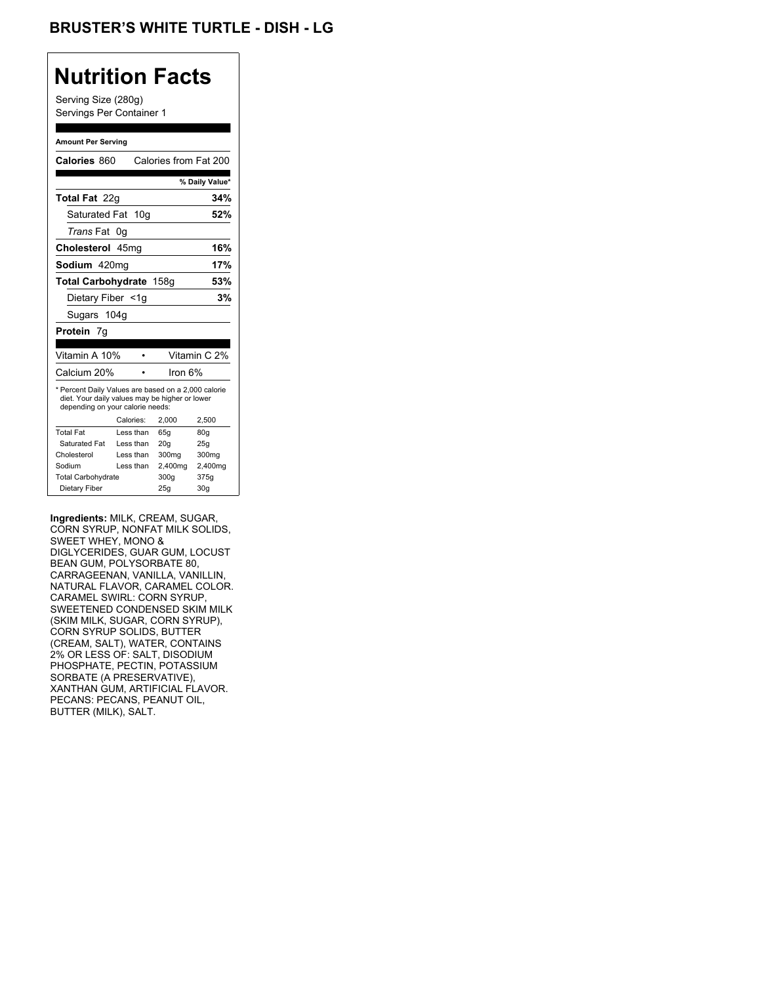Serving Size (280g) Servings Per Container 1

#### **Amount Per Serving**

| Calories 860                                                                                                                              |           |  | Calories from Fat 200 |                 |
|-------------------------------------------------------------------------------------------------------------------------------------------|-----------|--|-----------------------|-----------------|
|                                                                                                                                           |           |  |                       | % Daily Value*  |
| Total Fat 22g                                                                                                                             |           |  |                       | 34%             |
| Saturated Fat 10g                                                                                                                         |           |  |                       | 52%             |
| <i>Trans</i> Fat                                                                                                                          | 0g        |  |                       |                 |
| Cholesterol 45mg                                                                                                                          |           |  |                       | 16%             |
| Sodium 420mg                                                                                                                              |           |  |                       | 17%             |
| Total Carbohydrate 158g                                                                                                                   |           |  |                       | 53%             |
| Dietary Fiber <1g                                                                                                                         |           |  |                       | 3%              |
| Sugars 104g                                                                                                                               |           |  |                       |                 |
| Protein 7g                                                                                                                                |           |  |                       |                 |
|                                                                                                                                           |           |  |                       |                 |
| Vitamin A 10%                                                                                                                             |           |  |                       | Vitamin C 2%    |
| Calcium 20%                                                                                                                               |           |  | Iron $6%$             |                 |
| * Percent Daily Values are based on a 2,000 calorie<br>diet. Your daily values may be higher or lower<br>depending on your calorie needs: |           |  |                       |                 |
|                                                                                                                                           | Calories: |  | 2.000                 | 2,500           |
| <b>Total Fat</b>                                                                                                                          | Less than |  | 65q                   | 80g             |
| Saturated Fat                                                                                                                             | Less than |  | 20q                   | 25q             |
| Cholesterol                                                                                                                               | Less than |  | 300mg                 | 300mg           |
| Sodium                                                                                                                                    | Less than |  | 2,400mg               | 2,400mg         |
| <b>Total Carbohydrate</b>                                                                                                                 |           |  | 300g                  | 375g            |
| Dietary Fiber                                                                                                                             |           |  | 25q                   | 30 <sub>q</sub> |

**Ingredients:** MILK, CREAM, SUGAR, CORN SYRUP, NONFAT MILK SOLIDS, SWEET WHEY, MONO & DIGLYCERIDES, GUAR GUM, LOCUST BEAN GUM, POLYSORBATE 80, CARRAGEENAN, VANILLA, VANILLIN, NATURAL FLAVOR, CARAMEL COLOR. CARAMEL SWIRL: CORN SYRUP, SWEETENED CONDENSED SKIM MILK (SKIM MILK, SUGAR, CORN SYRUP), CORN SYRUP SOLIDS, BUTTER (CREAM, SALT), WATER, CONTAINS 2% OR LESS OF: SALT, DISODIUM PHOSPHATE, PECTIN, POTASSIUM SORBATE (A PRESERVATIVE), XANTHAN GUM, ARTIFICIAL FLAVOR. PECANS: PECANS, PEANUT OIL, BUTTER (MILK), SALT.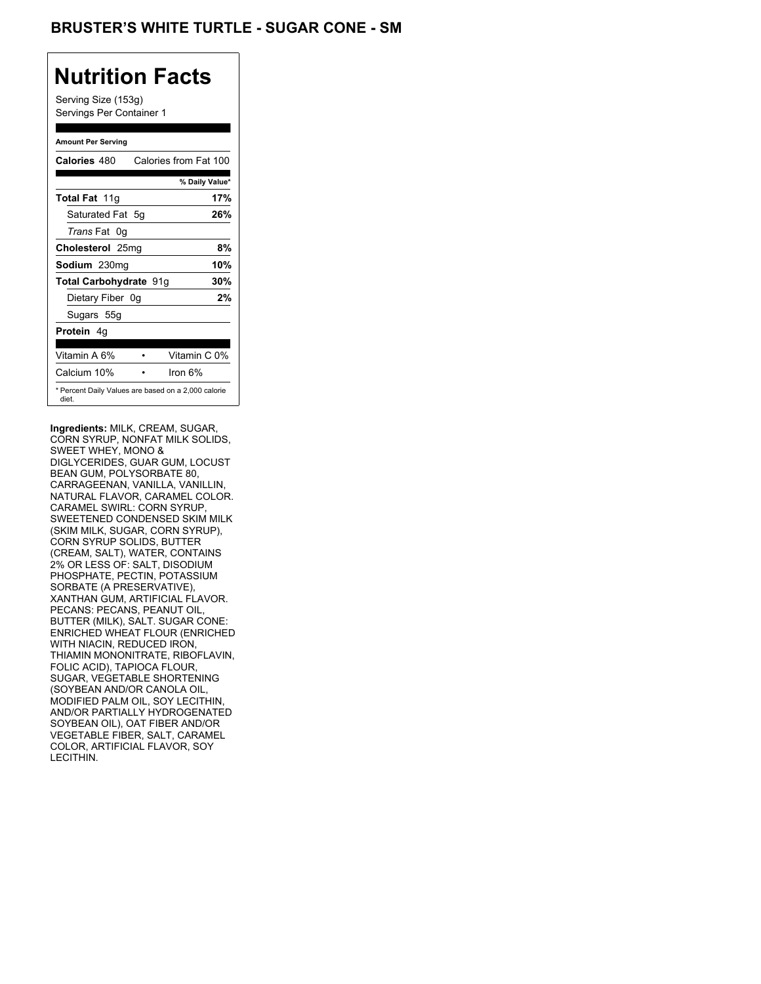## BRUSTER'S WHITE TURTLE - SUGAR CONE - SM

# **Nutrition Facts**

Serving Size (153g) Servings Per Container 1

#### **Amount Per Serving**

| Calories 480                                                 | Calories from Fat 100 |                |
|--------------------------------------------------------------|-----------------------|----------------|
|                                                              |                       | % Daily Value* |
| <b>Total Fat 11g</b>                                         |                       | 17%            |
| Saturated Fat 5g                                             |                       | 26%            |
| <i>Trans</i> Fat 0q                                          |                       |                |
| Cholesterol 25mg                                             |                       | 8%             |
| Sodium 230mg                                                 |                       | 10%            |
| Total Carbohydrate 91g                                       |                       | 30%            |
| Dietary Fiber 0g                                             |                       | 2%             |
| Sugars 55g                                                   |                       |                |
| <b>Protein 4g</b>                                            |                       |                |
| Vitamin A 6%                                                 |                       | Vitamin C 0%   |
| Calcium 10%                                                  | Iron $6\%$            |                |
| * Percent Daily Values are based on a 2,000 calorie<br>diet. |                       |                |

**Ingredients:** MILK, CREAM, SUGAR, CORN SYRUP, NONFAT MILK SOLIDS, SWEET WHEY, MONO & DIGLYCERIDES, GUAR GUM, LOCUST BEAN GUM, POLYSORBATE 80, CARRAGEENAN, VANILLA, VANILLIN, NATURAL FLAVOR, CARAMEL COLOR. CARAMEL SWIRL: CORN SYRUP, SWEETENED CONDENSED SKIM MILK (SKIM MILK, SUGAR, CORN SYRUP), CORN SYRUP SOLIDS, BUTTER (CREAM, SALT), WATER, CONTAINS 2% OR LESS OF: SALT, DISODIUM PHOSPHATE, PECTIN, POTASSIUM SORBATE (A PRESERVATIVE), XANTHAN GUM, ARTIFICIAL FLAVOR. PECANS: PECANS, PEANUT OIL, BUTTER (MILK), SALT. SUGAR CONE: ENRICHED WHEAT FLOUR (ENRICHED WITH NIACIN, REDUCED IRON, THIAMIN MONONITRATE, RIBOFLAVIN, FOLIC ACID), TAPIOCA FLOUR, SUGAR, VEGETABLE SHORTENING (SOYBEAN AND/OR CANOLA OIL, MODIFIED PALM OIL, SOY LECITHIN, AND/OR PARTIALLY HYDROGENATED SOYBEAN OIL), OAT FIBER AND/OR VEGETABLE FIBER, SALT, CARAMEL COLOR, ARTIFICIAL FLAVOR, SOY LECITHIN.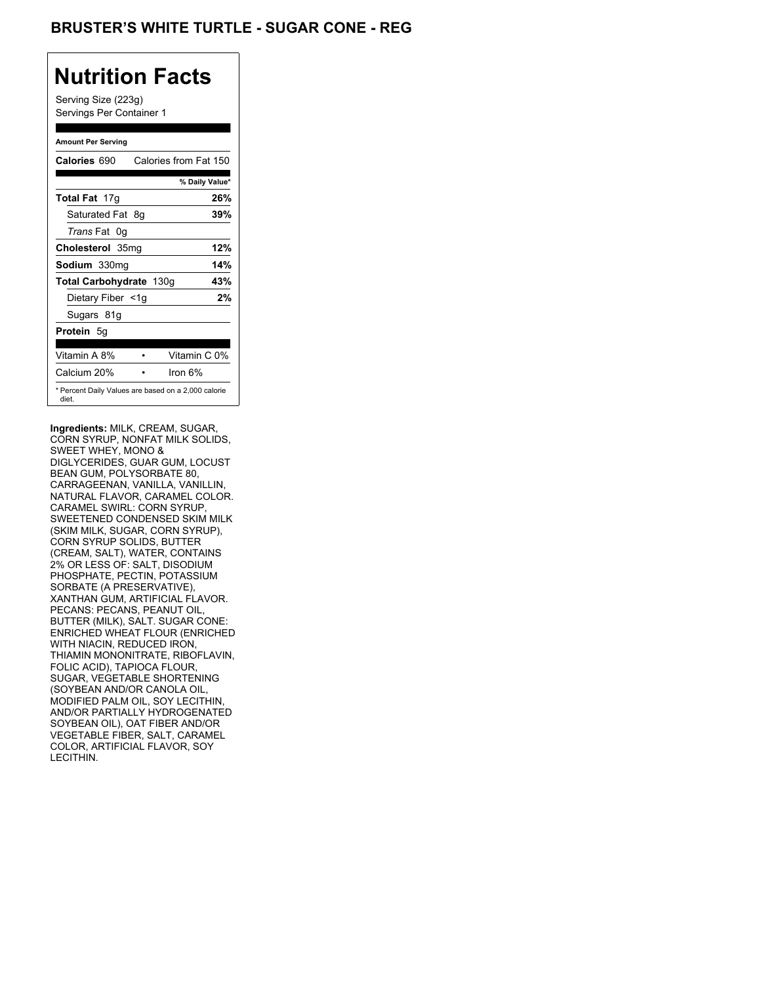## **BRUSTER'S WHITE TURTLE - SUGAR CONE - REG**

# **Nutrition Facts**

Serving Size (223g) Servings Per Container 1

#### **Amount Per Serving**

| Calories 690            | Calories from Fat 150                               |
|-------------------------|-----------------------------------------------------|
|                         | % Daily Value*                                      |
| <b>Total Fat 17g</b>    | 26%                                                 |
| Saturated Fat 8g        | 39%                                                 |
| <i>Trans</i> Fat 0q     |                                                     |
| Cholesterol 35mg        | 12%                                                 |
| Sodium 330mg            | 14%                                                 |
| Total Carbohydrate 130g | 43%                                                 |
| Dietary Fiber <1g       | 2%                                                  |
| Sugars 81g              |                                                     |
| <b>Protein 5g</b>       |                                                     |
| Vitamin A 8%            | Vitamin C 0%                                        |
| Calcium 20%             | Iron $6\%$                                          |
| diet.                   | * Percent Daily Values are based on a 2,000 calorie |

**Ingredients:** MILK, CREAM, SUGAR, CORN SYRUP, NONFAT MILK SOLIDS, SWEET WHEY, MONO & DIGLYCERIDES, GUAR GUM, LOCUST BEAN GUM, POLYSORBATE 80, CARRAGEENAN, VANILLA, VANILLIN, NATURAL FLAVOR, CARAMEL COLOR. CARAMEL SWIRL: CORN SYRUP, SWEETENED CONDENSED SKIM MILK (SKIM MILK, SUGAR, CORN SYRUP), CORN SYRUP SOLIDS, BUTTER (CREAM, SALT), WATER, CONTAINS 2% OR LESS OF: SALT, DISODIUM PHOSPHATE, PECTIN, POTASSIUM SORBATE (A PRESERVATIVE), XANTHAN GUM, ARTIFICIAL FLAVOR. PECANS: PECANS, PEANUT OIL, BUTTER (MILK), SALT. SUGAR CONE: ENRICHED WHEAT FLOUR (ENRICHED WITH NIACIN, REDUCED IRON, THIAMIN MONONITRATE, RIBOFLAVIN, FOLIC ACID), TAPIOCA FLOUR, SUGAR, VEGETABLE SHORTENING (SOYBEAN AND/OR CANOLA OIL, MODIFIED PALM OIL, SOY LECITHIN, AND/OR PARTIALLY HYDROGENATED SOYBEAN OIL), OAT FIBER AND/OR VEGETABLE FIBER, SALT, CARAMEL COLOR, ARTIFICIAL FLAVOR, SOY LECITHIN.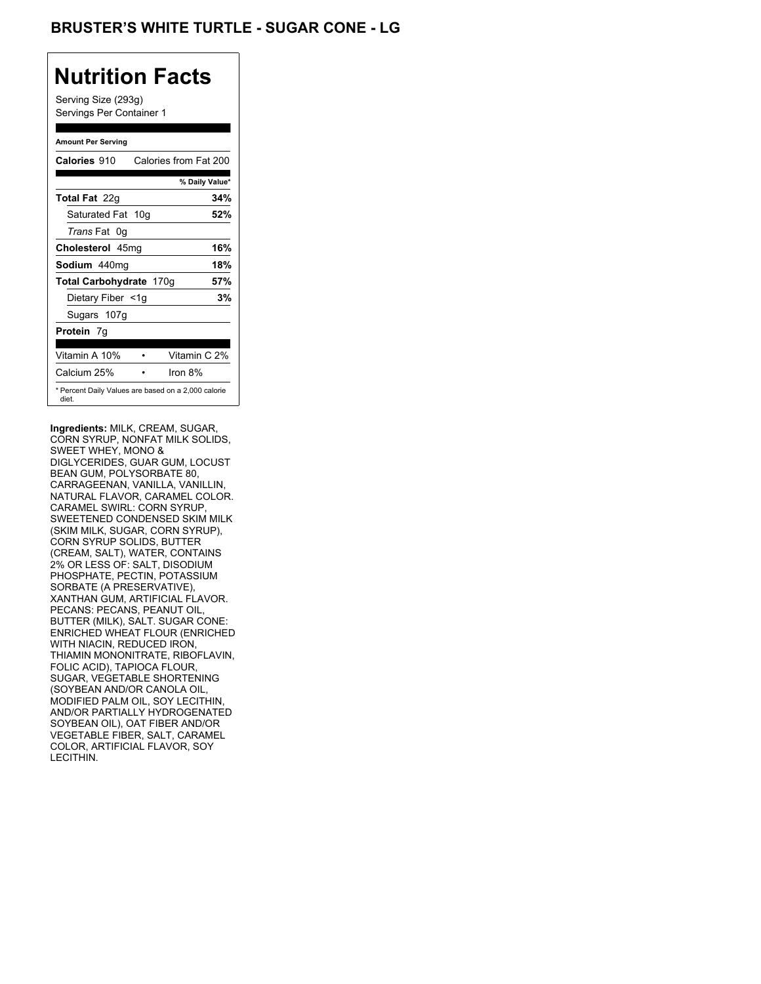## **BRUSTER'S WHITE TURTLE - SUGAR CONE - LG**

# **Nutrition Facts**

Serving Size (293g) Servings Per Container 1

#### **Amount Per Serving**

| Calories 910                                                 | Calories from Fat 200 |     |
|--------------------------------------------------------------|-----------------------|-----|
|                                                              | % Daily Value*        |     |
| <b>Total Fat</b> 22g                                         |                       | 34% |
| Saturated Fat 10g                                            |                       | 52% |
| <i>Trans</i> Fat 0q                                          |                       |     |
| Cholesterol 45mg                                             |                       | 16% |
| Sodium 440mg                                                 |                       | 18% |
| Total Carbohydrate 170g                                      |                       | 57% |
| Dietary Fiber <1g                                            |                       | 3%  |
| Sugars 107g                                                  |                       |     |
| <b>Protein</b> 7q                                            |                       |     |
| Vitamin A 10%                                                | Vitamin C 2%          |     |
| Calcium 25%                                                  | Iron 8%               |     |
| * Percent Daily Values are based on a 2,000 calorie<br>diet. |                       |     |

**Ingredients:** MILK, CREAM, SUGAR, CORN SYRUP, NONFAT MILK SOLIDS, SWEET WHEY, MONO & DIGLYCERIDES, GUAR GUM, LOCUST BEAN GUM, POLYSORBATE 80, CARRAGEENAN, VANILLA, VANILLIN, NATURAL FLAVOR, CARAMEL COLOR. CARAMEL SWIRL: CORN SYRUP, SWEETENED CONDENSED SKIM MILK (SKIM MILK, SUGAR, CORN SYRUP), CORN SYRUP SOLIDS, BUTTER (CREAM, SALT), WATER, CONTAINS 2% OR LESS OF: SALT, DISODIUM PHOSPHATE, PECTIN, POTASSIUM SORBATE (A PRESERVATIVE), XANTHAN GUM, ARTIFICIAL FLAVOR. PECANS: PECANS, PEANUT OIL, BUTTER (MILK), SALT. SUGAR CONE: ENRICHED WHEAT FLOUR (ENRICHED WITH NIACIN, REDUCED IRON, THIAMIN MONONITRATE, RIBOFLAVIN, FOLIC ACID), TAPIOCA FLOUR, SUGAR, VEGETABLE SHORTENING (SOYBEAN AND/OR CANOLA OIL, MODIFIED PALM OIL, SOY LECITHIN, AND/OR PARTIALLY HYDROGENATED SOYBEAN OIL), OAT FIBER AND/OR VEGETABLE FIBER, SALT, CARAMEL COLOR, ARTIFICIAL FLAVOR, SOY LECITHIN.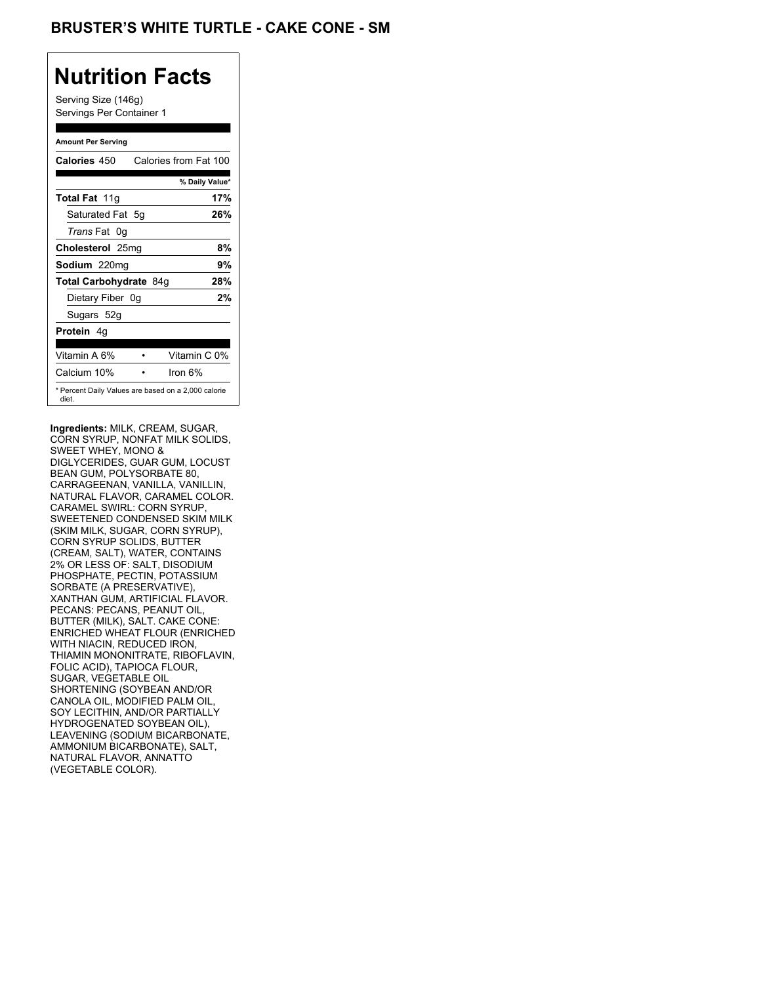## BRUSTER'S WHITE TURTLE - CAKE CONE - SM

## **Nutrition Facts**

Serving Size (146g) Servings Per Container 1

#### **Amount Per Serving**

| Calories 450           | Calories from Fat 100                               |
|------------------------|-----------------------------------------------------|
|                        | % Daily Value*                                      |
| <b>Total Fat 11g</b>   | 17%                                                 |
| Saturated Fat 5q       | 26%                                                 |
| <i>Trans</i> Fat 0q    |                                                     |
| Cholesterol 25mg       | 8%                                                  |
| Sodium 220mg           | 9%                                                  |
| Total Carbohydrate 84g | 28%                                                 |
| Dietary Fiber 0g       | 2%                                                  |
| Sugars 52g             |                                                     |
| <b>Protein</b> 4q      |                                                     |
| Vitamin A 6%           | Vitamin C 0%                                        |
| Calcium 10%            | Iron 6%                                             |
| diet.                  | * Percent Daily Values are based on a 2,000 calorie |

**Ingredients:** MILK, CREAM, SUGAR, CORN SYRUP, NONFAT MILK SOLIDS, SWEET WHEY, MONO & DIGLYCERIDES, GUAR GUM, LOCUST BEAN GUM, POLYSORBATE 80, CARRAGEENAN, VANILLA, VANILLIN, NATURAL FLAVOR, CARAMEL COLOR. CARAMEL SWIRL: CORN SYRUP, SWEETENED CONDENSED SKIM MILK (SKIM MILK, SUGAR, CORN SYRUP), CORN SYRUP SOLIDS, BUTTER (CREAM, SALT), WATER, CONTAINS 2% OR LESS OF: SALT, DISODIUM PHOSPHATE, PECTIN, POTASSIUM SORBATE (A PRESERVATIVE), XANTHAN GUM, ARTIFICIAL FLAVOR. PECANS: PECANS, PEANUT OIL, BUTTER (MILK), SALT. CAKE CONE: ENRICHED WHEAT FLOUR (ENRICHED WITH NIACIN, REDUCED IRON, THIAMIN MONONITRATE, RIBOFLAVIN, FOLIC ACID), TAPIOCA FLOUR, SUGAR, VEGETABLE OIL SHORTENING (SOYBEAN AND/OR CANOLA OIL, MODIFIED PALM OIL, SOY LECITHIN, AND/OR PARTIALLY HYDROGENATED SOYBEAN OIL), LEAVENING (SODIUM BICARBONATE, AMMONIUM BICARBONATE), SALT, NATURAL FLAVOR, ANNATTO (VEGETABLE COLOR).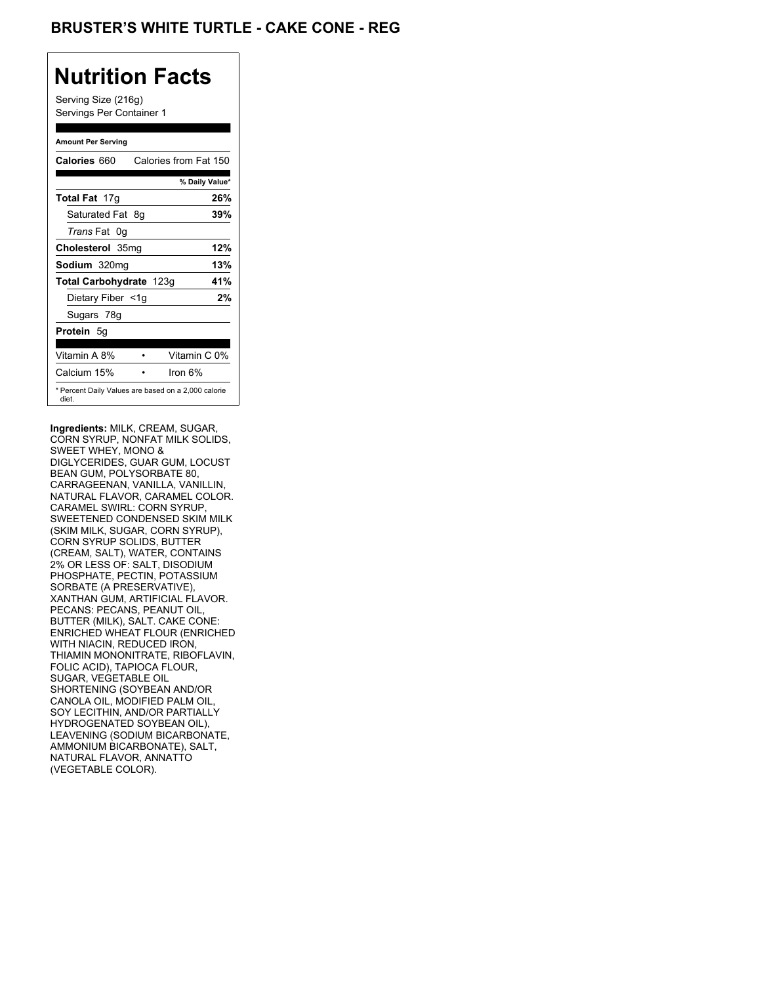## **BRUSTER'S WHITE TURTLE - CAKE CONE - REG**

# **Nutrition Facts**

Serving Size (216g) Servings Per Container 1

#### **Amount Per Serving**

| Calories 660            | Calories from Fat 150                               |
|-------------------------|-----------------------------------------------------|
|                         | % Daily Value*                                      |
| <b>Total Fat 17g</b>    | 26%                                                 |
| Saturated Fat 8g        | 39%                                                 |
| <i>Trans</i> Fat 0q     |                                                     |
| Cholesterol 35mg        | 12%                                                 |
| Sodium 320mg            | 13%                                                 |
| Total Carbohydrate 123g | 41%                                                 |
| Dietary Fiber <1g       | 2%                                                  |
| Sugars 78g              |                                                     |
| <b>Protein 5g</b>       |                                                     |
| Vitamin A 8%            | Vitamin C 0%                                        |
| Calcium 15%             | Iron $6\%$                                          |
| diet.                   | * Percent Daily Values are based on a 2,000 calorie |

**Ingredients:** MILK, CREAM, SUGAR, CORN SYRUP, NONFAT MILK SOLIDS, SWEET WHEY, MONO & DIGLYCERIDES, GUAR GUM, LOCUST BEAN GUM, POLYSORBATE 80, CARRAGEENAN, VANILLA, VANILLIN, NATURAL FLAVOR, CARAMEL COLOR. CARAMEL SWIRL: CORN SYRUP, SWEETENED CONDENSED SKIM MILK (SKIM MILK, SUGAR, CORN SYRUP), CORN SYRUP SOLIDS, BUTTER (CREAM, SALT), WATER, CONTAINS 2% OR LESS OF: SALT, DISODIUM PHOSPHATE, PECTIN, POTASSIUM SORBATE (A PRESERVATIVE), XANTHAN GUM, ARTIFICIAL FLAVOR. PECANS: PECANS, PEANUT OIL, BUTTER (MILK), SALT. CAKE CONE: ENRICHED WHEAT FLOUR (ENRICHED WITH NIACIN, REDUCED IRON, THIAMIN MONONITRATE, RIBOFLAVIN, FOLIC ACID), TAPIOCA FLOUR, SUGAR, VEGETABLE OIL SHORTENING (SOYBEAN AND/OR CANOLA OIL, MODIFIED PALM OIL, SOY LECITHIN, AND/OR PARTIALLY HYDROGENATED SOYBEAN OIL), LEAVENING (SODIUM BICARBONATE, AMMONIUM BICARBONATE), SALT, NATURAL FLAVOR, ANNATTO (VEGETABLE COLOR).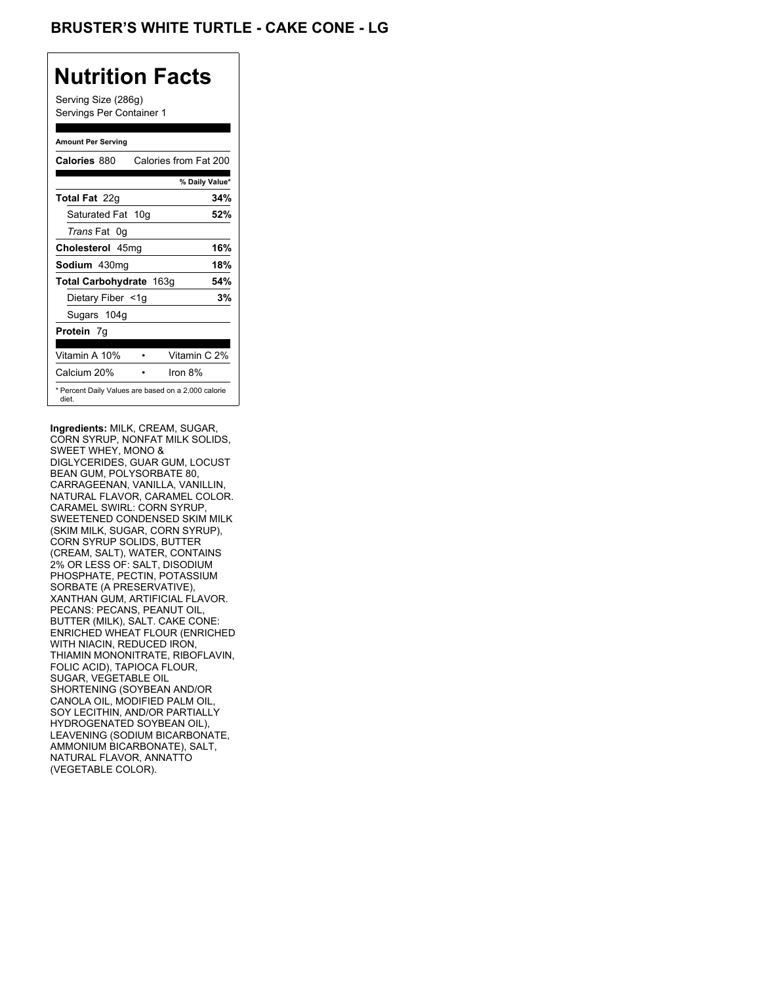## **BRUSTER'S WHITE TURTLE - CAKE CONE - LG**

## **Nutrition Facts**

Serving Size (286g) Servings Per Container 1

#### **Amount Per Serving**

| <b>Calories 880</b>                                          | Calories from Fat 200 |     |
|--------------------------------------------------------------|-----------------------|-----|
|                                                              | % Daily Value*        |     |
| <b>Total Fat</b> 22g                                         |                       | 34% |
| Saturated Fat 10g                                            |                       | 52% |
| <i>Trans</i> Fat 0q                                          |                       |     |
| Cholesterol 45mg                                             |                       | 16% |
| Sodium 430mg                                                 |                       | 18% |
| Total Carbohydrate 163g                                      |                       | 54% |
| Dietary Fiber <1g                                            |                       | 3%  |
| Sugars 104g                                                  |                       |     |
| <b>Protein</b> 7q                                            |                       |     |
| Vitamin A 10%                                                | Vitamin C 2%          |     |
| Calcium 20%                                                  | Iron $8\%$            |     |
| * Percent Daily Values are based on a 2,000 calorie<br>diet. |                       |     |

**Ingredients:** MILK, CREAM, SUGAR, CORN SYRUP, NONFAT MILK SOLIDS, SWEET WHEY, MONO & DIGLYCERIDES, GUAR GUM, LOCUST BEAN GUM, POLYSORBATE 80, CARRAGEENAN, VANILLA, VANILLIN, NATURAL FLAVOR, CARAMEL COLOR. CARAMEL SWIRL: CORN SYRUP, SWEETENED CONDENSED SKIM MILK (SKIM MILK, SUGAR, CORN SYRUP), CORN SYRUP SOLIDS, BUTTER (CREAM, SALT), WATER, CONTAINS 2% OR LESS OF: SALT, DISODIUM PHOSPHATE, PECTIN, POTASSIUM SORBATE (A PRESERVATIVE), XANTHAN GUM, ARTIFICIAL FLAVOR. PECANS: PECANS, PEANUT OIL, BUTTER (MILK), SALT. CAKE CONE: ENRICHED WHEAT FLOUR (ENRICHED WITH NIACIN, REDUCED IRON, THIAMIN MONONITRATE, RIBOFLAVIN, FOLIC ACID), TAPIOCA FLOUR, SUGAR, VEGETABLE OIL SHORTENING (SOYBEAN AND/OR CANOLA OIL, MODIFIED PALM OIL, SOY LECITHIN, AND/OR PARTIALLY HYDROGENATED SOYBEAN OIL), LEAVENING (SODIUM BICARBONATE, AMMONIUM BICARBONATE), SALT, NATURAL FLAVOR, ANNATTO (VEGETABLE COLOR).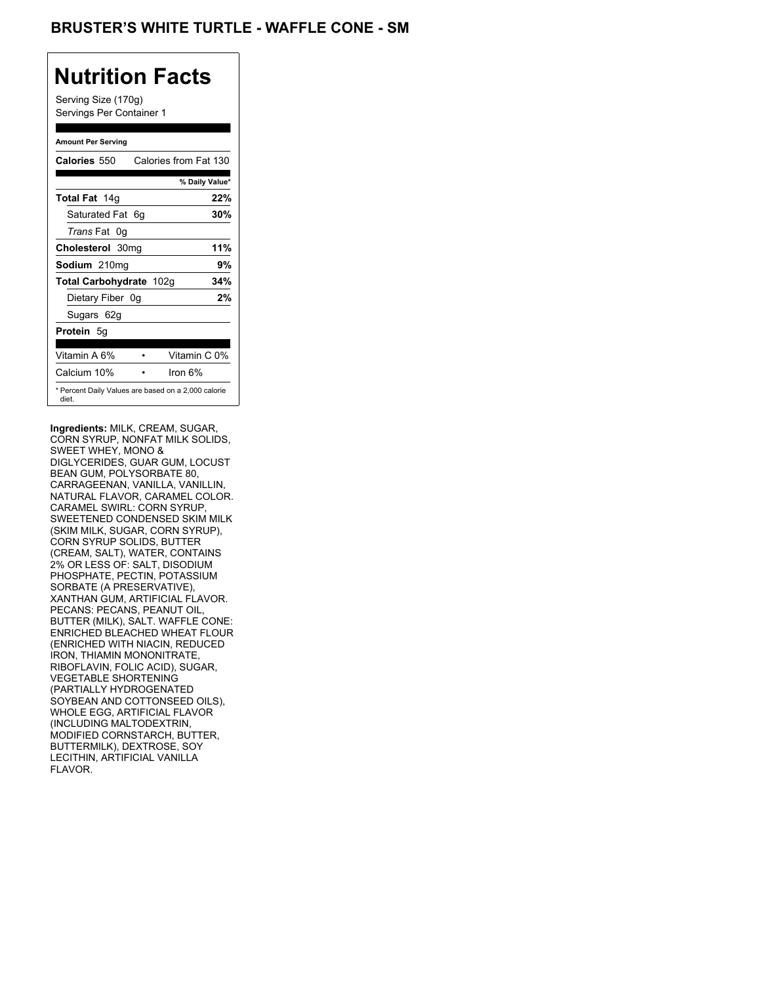Serving Size (170g) Servings Per Container 1

#### **Amount Per Serving**

| Calories 550            | Calories from Fat 130                               |
|-------------------------|-----------------------------------------------------|
|                         | % Daily Value*                                      |
| Total Fat 14g           | 22%                                                 |
| Saturated Fat 6q        | 30%                                                 |
| <i>Trans</i> Fat 0q     |                                                     |
| Cholesterol 30mg        | 11%                                                 |
| Sodium 210mg            | 9%                                                  |
| Total Carbohydrate 102g | 34%                                                 |
| Dietary Fiber 0g        | 2%                                                  |
| Sugars 62g              |                                                     |
| <b>Protein</b> 5g       |                                                     |
| Vitamin A 6%            | Vitamin C 0%                                        |
| Calcium 10%             | lron 6%                                             |
| diet.                   | * Percent Daily Values are based on a 2,000 calorie |

**Ingredients:** MILK, CREAM, SUGAR, CORN SYRUP, NONFAT MILK SOLIDS, SWEET WHEY, MONO & DIGLYCERIDES, GUAR GUM, LOCUST BEAN GUM, POLYSORBATE 80, CARRAGEENAN, VANILLA, VANILLIN, NATURAL FLAVOR, CARAMEL COLOR. CARAMEL SWIRL: CORN SYRUP, SWEETENED CONDENSED SKIM MILK (SKIM MILK, SUGAR, CORN SYRUP), CORN SYRUP SOLIDS, BUTTER (CREAM, SALT), WATER, CONTAINS 2% OR LESS OF: SALT, DISODIUM PHOSPHATE, PECTIN, POTASSIUM SORBATE (A PRESERVATIVE), XANTHAN GUM, ARTIFICIAL FLAVOR. PECANS: PECANS, PEANUT OIL, BUTTER (MILK), SALT. WAFFLE CONE: ENRICHED BLEACHED WHEAT FLOUR (ENRICHED WITH NIACIN, REDUCED IRON, THIAMIN MONONITRATE, RIBOFLAVIN, FOLIC ACID), SUGAR, VEGETABLE SHORTENING (PARTIALLY HYDROGENATED SOYBEAN AND COTTONSEED OILS), WHOLE EGG, ARTIFICIAL FLAVOR (INCLUDING MALTODEXTRIN, MODIFIED CORNSTARCH, BUTTER, BUTTERMILK), DEXTROSE, SOY LECITHIN, ARTIFICIAL VANILLA FLAVOR.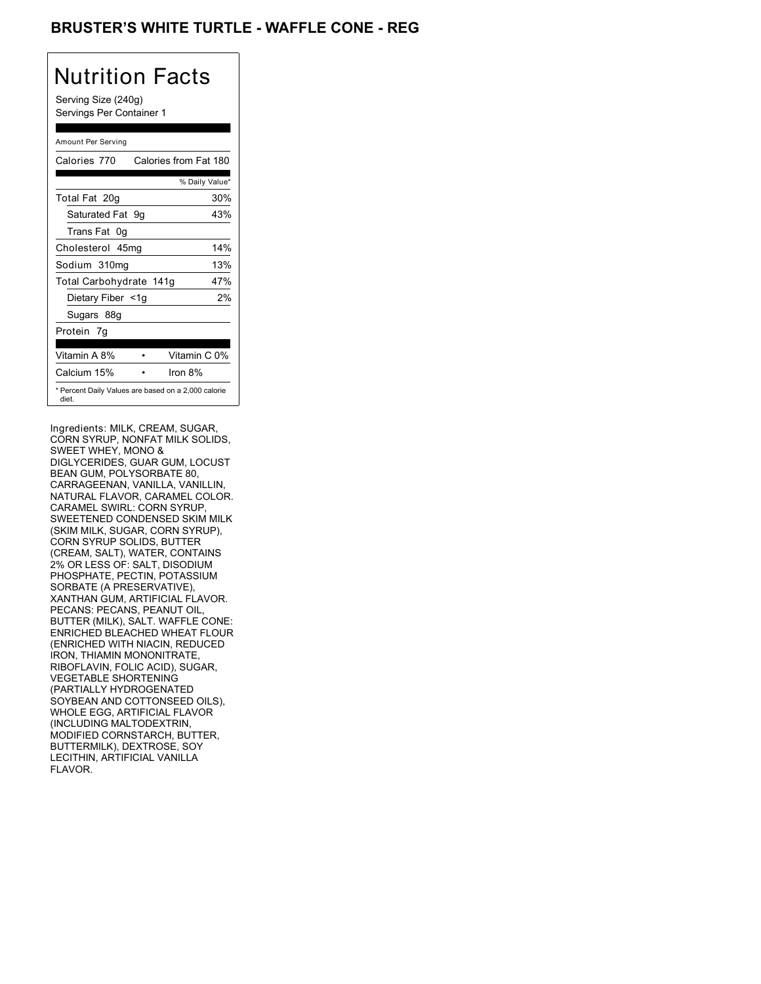## **BRUSTER'S WHITE TURTLE - WAFFLE CONE - REG**

## Nutrition Facts

Serving Size (240g) Servings Per Container 1

#### Amount Per Serving

| Calories 770            | Calories from Fat 180                               |
|-------------------------|-----------------------------------------------------|
|                         | % Daily Value*                                      |
| Total Fat 20g           | 30%                                                 |
| Saturated Fat 9g        | 43%                                                 |
| Trans Fat 0q            |                                                     |
| Cholesterol 45mg        | 14%                                                 |
| Sodium 310mg            | 13%                                                 |
| Total Carbohydrate 141g | 47%                                                 |
| Dietary Fiber <1g       | 2%                                                  |
| Sugars 88g              |                                                     |
| Protein 7q              |                                                     |
| Vitamin A 8%            | Vitamin C 0%                                        |
| Calcium 15%             | Iron $8\%$                                          |
| diet.                   | * Percent Daily Values are based on a 2,000 calorie |

Ingredients: MILK, CREAM, SUGAR, CORN SYRUP, NONFAT MILK SOLIDS, SWEET WHEY, MONO & DIGLYCERIDES, GUAR GUM, LOCUST BEAN GUM, POLYSORBATE 80, CARRAGEENAN, VANILLA, VANILLIN, NATURAL FLAVOR, CARAMEL COLOR. CARAMEL SWIRL: CORN SYRUP, SWEETENED CONDENSED SKIM MILK (SKIM MILK, SUGAR, CORN SYRUP), CORN SYRUP SOLIDS, BUTTER (CREAM, SALT), WATER, CONTAINS 2% OR LESS OF: SALT, DISODIUM PHOSPHATE, PECTIN, POTASSIUM SORBATE (A PRESERVATIVE), XANTHAN GUM, ARTIFICIAL FLAVOR. PECANS: PECANS, PEANUT OIL, BUTTER (MILK), SALT. WAFFLE CONE: ENRICHED BLEACHED WHEAT FLOUR (ENRICHED WITH NIACIN, REDUCED IRON, THIAMIN MONONITRATE, RIBOFLAVIN, FOLIC ACID), SUGAR, VEGETABLE SHORTENING (PARTIALLY HYDROGENATED SOYBEAN AND COTTONSEED OILS), WHOLE EGG, ARTIFICIAL FLAVOR (INCLUDING MALTODEXTRIN, MODIFIED CORNSTARCH, BUTTER, BUTTERMILK), DEXTROSE, SOY LECITHIN, ARTIFICIAL VANILLA FLAVOR.